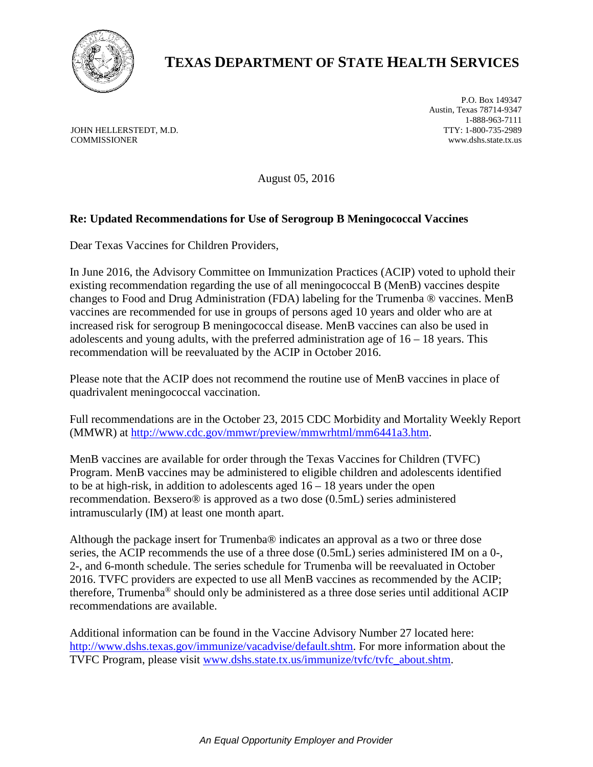

## **TEXAS DEPARTMENT OF STATE HEALTH SERVICES**

JOHN HELLERSTEDT, M.D. COMMISSIONER

P.O. Box 149347 Austin, Texas 78714-9347 1-888-963-7111 TTY: 1-800-735-2989 www.dshs.state.tx.us

August 05, 2016

## **Re: Updated Recommendations for Use of Serogroup B Meningococcal Vaccines**

Dear Texas Vaccines for Children Providers,

In June 2016, the Advisory Committee on Immunization Practices (ACIP) voted to uphold their existing recommendation regarding the use of all meningococcal B (MenB) vaccines despite changes to Food and Drug Administration (FDA) labeling for the Trumenba ® vaccines. MenB vaccines are recommended for use in groups of persons aged 10 years and older who are at increased risk for serogroup B meningococcal disease. MenB vaccines can also be used in adolescents and young adults, with the preferred administration age of  $16 - 18$  years. This recommendation will be reevaluated by the ACIP in October 2016.

Please note that the ACIP does not recommend the routine use of MenB vaccines in place of quadrivalent meningococcal vaccination.

Full recommendations are in the October 23, 2015 CDC Morbidity and Mortality Weekly Report (MMWR) at [http://www.cdc.gov/mmwr/preview/mmwrhtml/mm6441a3.htm.](http://www.cdc.gov/mmwr/preview/mmwrhtml/mm6441a3.htm)

MenB vaccines are available for order through the Texas Vaccines for Children (TVFC) Program. MenB vaccines may be administered to eligible children and adolescents identified to be at high-risk, in addition to adolescents aged  $16 - 18$  years under the open recommendation. Bexsero® is approved as a two dose (0.5mL) series administered intramuscularly (IM) at least one month apart.

Although the package insert for Trumenba® indicates an approval as a two or three dose series, the ACIP recommends the use of a three dose (0.5mL) series administered IM on a 0-, 2-, and 6-month schedule. The series schedule for Trumenba will be reevaluated in October 2016. TVFC providers are expected to use all MenB vaccines as recommended by the ACIP; therefore, Trumenba® should only be administered as a three dose series until additional ACIP recommendations are available.

Additional information can be found in the Vaccine Advisory Number 27 located here: [http://www.dshs.texas.gov/immunize/vacadvise/default.shtm.](http://www.dshs.texas.gov/immunize/vacadvise/default.shtm) For more information about the TVFC Program, please visit [www.dshs.state.tx.us/immunize/tvfc/tvfc\\_about.shtm.](http://www.dshs.state.tx.us/immunize/tvfc/tvfc_about.shtm)